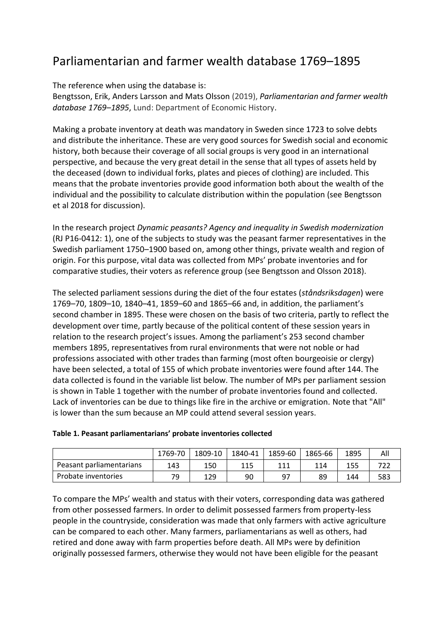# Parliamentarian and farmer wealth database 1769–1895

The reference when using the database is:

Bengtsson, Erik, Anders Larsson and Mats Olsson (2019), *Parliamentarian and farmer wealth database 1769–1895*, Lund: Department of Economic History.

Making a probate inventory at death was mandatory in Sweden since 1723 to solve debts and distribute the inheritance. These are very good sources for Swedish social and economic history, both because their coverage of all social groups is very good in an international perspective, and because the very great detail in the sense that all types of assets held by the deceased (down to individual forks, plates and pieces of clothing) are included. This means that the probate inventories provide good information both about the wealth of the individual and the possibility to calculate distribution within the population (see Bengtsson et al 2018 for discussion).

In the research project *Dynamic peasants? Agency and inequality in Swedish modernization* (RJ P16-0412: 1), one of the subjects to study was the peasant farmer representatives in the Swedish parliament 1750–1900 based on, among other things, private wealth and region of origin. For this purpose, vital data was collected from MPs' probate inventories and for comparative studies, their voters as reference group (see Bengtsson and Olsson 2018).

The selected parliament sessions during the diet of the four estates (*ståndsriksdagen*) were 1769–70, 1809–10, 1840–41, 1859–60 and 1865–66 and, in addition, the parliament's second chamber in 1895. These were chosen on the basis of two criteria, partly to reflect the development over time, partly because of the political content of these session years in relation to the research project's issues. Among the parliament's 253 second chamber members 1895, representatives from rural environments that were not noble or had professions associated with other trades than farming (most often bourgeoisie or clergy) have been selected, a total of 155 of which probate inventories were found after 144. The data collected is found in the variable list below. The number of MPs per parliament session is shown in Table 1 together with the number of probate inventories found and collected. Lack of inventories can be due to things like fire in the archive or emigration. Note that "All" is lower than the sum because an MP could attend several session years.

|                          | 1769-70 | 1809-10 | 1840-41 | 1859-60 | 1865-66 | 1895 | All |
|--------------------------|---------|---------|---------|---------|---------|------|-----|
| Peasant parliamentarians | 143     | 150     | 115     | 111     | 114     | 155  |     |
| Probate inventories      | 79      | 129     | 90      | 97      | 89      | 144  | 583 |

### **Table 1. Peasant parliamentarians' probate inventories collected**

To compare the MPs' wealth and status with their voters, corresponding data was gathered from other possessed farmers. In order to delimit possessed farmers from property-less people in the countryside, consideration was made that only farmers with active agriculture can be compared to each other. Many farmers, parliamentarians as well as others, had retired and done away with farm properties before death. All MPs were by definition originally possessed farmers, otherwise they would not have been eligible for the peasant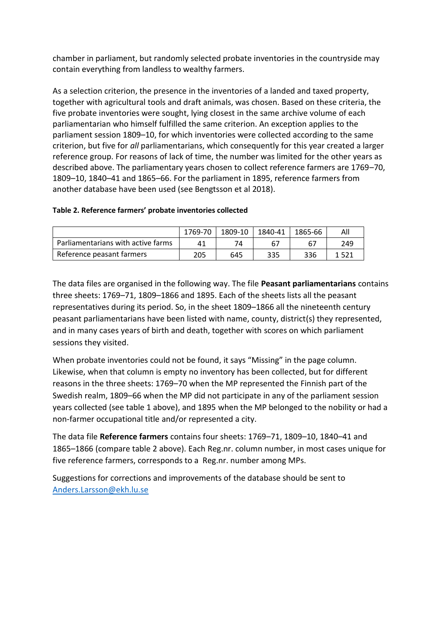chamber in parliament, but randomly selected probate inventories in the countryside may contain everything from landless to wealthy farmers.

As a selection criterion, the presence in the inventories of a landed and taxed property, together with agricultural tools and draft animals, was chosen. Based on these criteria, the five probate inventories were sought, lying closest in the same archive volume of each parliamentarian who himself fulfilled the same criterion. An exception applies to the parliament session 1809–10, for which inventories were collected according to the same criterion, but five for *all* parliamentarians, which consequently for this year created a larger reference group. For reasons of lack of time, the number was limited for the other years as described above. The parliamentary years chosen to collect reference farmers are 1769–70, 1809–10, 1840–41 and 1865–66. For the parliament in 1895, reference farmers from another database have been used (see Bengtsson et al 2018).

### **Table 2. Reference farmers' probate inventories collected**

|                                    | 1769-70 |     | 1809-10   1840-41 | 1865-66 | All     |
|------------------------------------|---------|-----|-------------------|---------|---------|
| Parliamentarians with active farms |         | 74  | 67                |         | 249     |
| Reference peasant farmers          | 205     | 645 | 335               | 336     | 1 5 2 1 |

The data files are organised in the following way. The file **Peasant parliamentarians** contains three sheets: 1769–71, 1809–1866 and 1895. Each of the sheets lists all the peasant representatives during its period. So, in the sheet 1809–1866 all the nineteenth century peasant parliamentarians have been listed with name, county, district(s) they represented, and in many cases years of birth and death, together with scores on which parliament sessions they visited.

When probate inventories could not be found, it says "Missing" in the page column. Likewise, when that column is empty no inventory has been collected, but for different reasons in the three sheets: 1769–70 when the MP represented the Finnish part of the Swedish realm, 1809–66 when the MP did not participate in any of the parliament session years collected (see table 1 above), and 1895 when the MP belonged to the nobility or had a non-farmer occupational title and/or represented a city.

The data file **Reference farmers** contains four sheets: 1769–71, 1809–10, 1840–41 and 1865–1866 (compare table 2 above). Each Reg.nr. column number, in most cases unique for five reference farmers, corresponds to a Reg.nr. number among MPs.

Suggestions for corrections and improvements of the database should be sent to [Anders.Larsson@ekh.lu.se](mailto:Anders.Larsson@ekh.lu.se)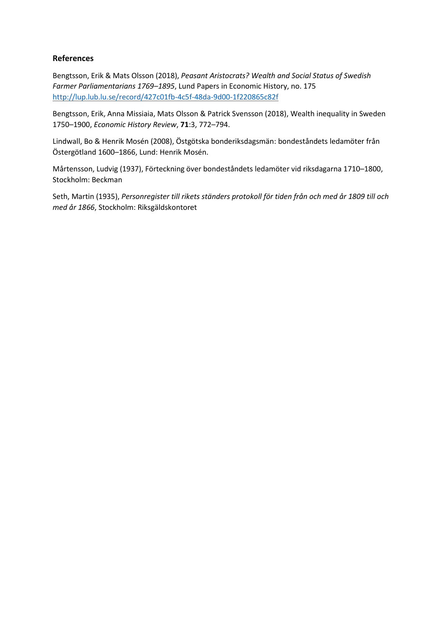## **References**

Bengtsson, Erik & Mats Olsson (2018), *Peasant Aristocrats? Wealth and Social Status of Swedish Farmer Parliamentarians 1769–1895*, Lund Papers in Economic History, no. 175 <http://lup.lub.lu.se/record/427c01fb-4c5f-48da-9d00-1f220865c82f>

Bengtsson, Erik, Anna Missiaia, Mats Olsson & Patrick Svensson (2018), Wealth inequality in Sweden 1750–1900, *Economic History Review*, **71**:3, 772–794.

Lindwall, Bo & Henrik Mosén (2008), Östgötska bonderiksdagsmän: bondeståndets ledamöter från Östergötland 1600–1866, Lund: Henrik Mosén.

Mårtensson, Ludvig (1937), Förteckning över bondeståndets ledamöter vid riksdagarna 1710–1800, Stockholm: Beckman

Seth, Martin (1935), *Personregister till rikets ständers protokoll för tiden från och med år 1809 till och med år 1866*, Stockholm: Riksgäldskontoret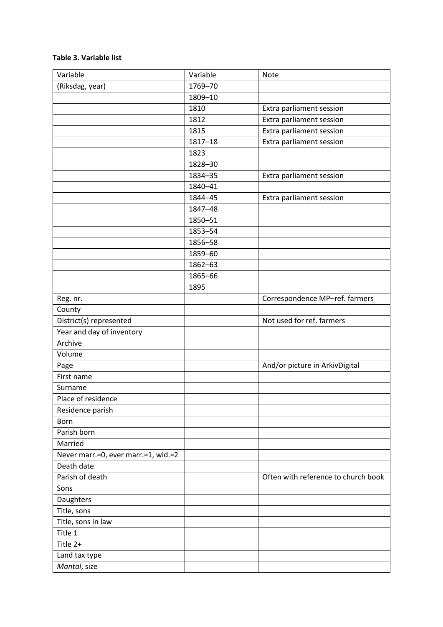#### **Table 3. Variable list**

| Variable                            | Variable    | <b>Note</b>                         |
|-------------------------------------|-------------|-------------------------------------|
| (Riksdag, year)                     | 1769-70     |                                     |
|                                     | 1809-10     |                                     |
|                                     | 1810        | Extra parliament session            |
|                                     | 1812        | Extra parliament session            |
|                                     | 1815        | Extra parliament session            |
|                                     | $1817 - 18$ | Extra parliament session            |
|                                     | 1823        |                                     |
|                                     | 1828-30     |                                     |
|                                     | 1834-35     | Extra parliament session            |
|                                     | 1840-41     |                                     |
|                                     | 1844-45     | Extra parliament session            |
|                                     | 1847-48     |                                     |
|                                     | 1850-51     |                                     |
|                                     | 1853-54     |                                     |
|                                     | 1856-58     |                                     |
|                                     | 1859-60     |                                     |
|                                     | 1862-63     |                                     |
|                                     | 1865-66     |                                     |
|                                     | 1895        |                                     |
| Reg. nr.                            |             | Correspondence MP-ref. farmers      |
| County                              |             |                                     |
| District(s) represented             |             | Not used for ref. farmers           |
| Year and day of inventory           |             |                                     |
| Archive                             |             |                                     |
| Volume                              |             |                                     |
| Page                                |             | And/or picture in ArkivDigital      |
| First name                          |             |                                     |
| Surname                             |             |                                     |
| Place of residence                  |             |                                     |
| Residence parish                    |             |                                     |
| Born                                |             |                                     |
| Parish born                         |             |                                     |
| Married                             |             |                                     |
| Never marr.=0, ever marr.=1, wid.=2 |             |                                     |
| Death date                          |             |                                     |
| Parish of death                     |             | Often with reference to church book |
| Sons                                |             |                                     |
| Daughters                           |             |                                     |
| Title, sons                         |             |                                     |
| Title, sons in law                  |             |                                     |
| Title 1                             |             |                                     |
| Title 2+                            |             |                                     |
| Land tax type                       |             |                                     |
| Mantal, size                        |             |                                     |